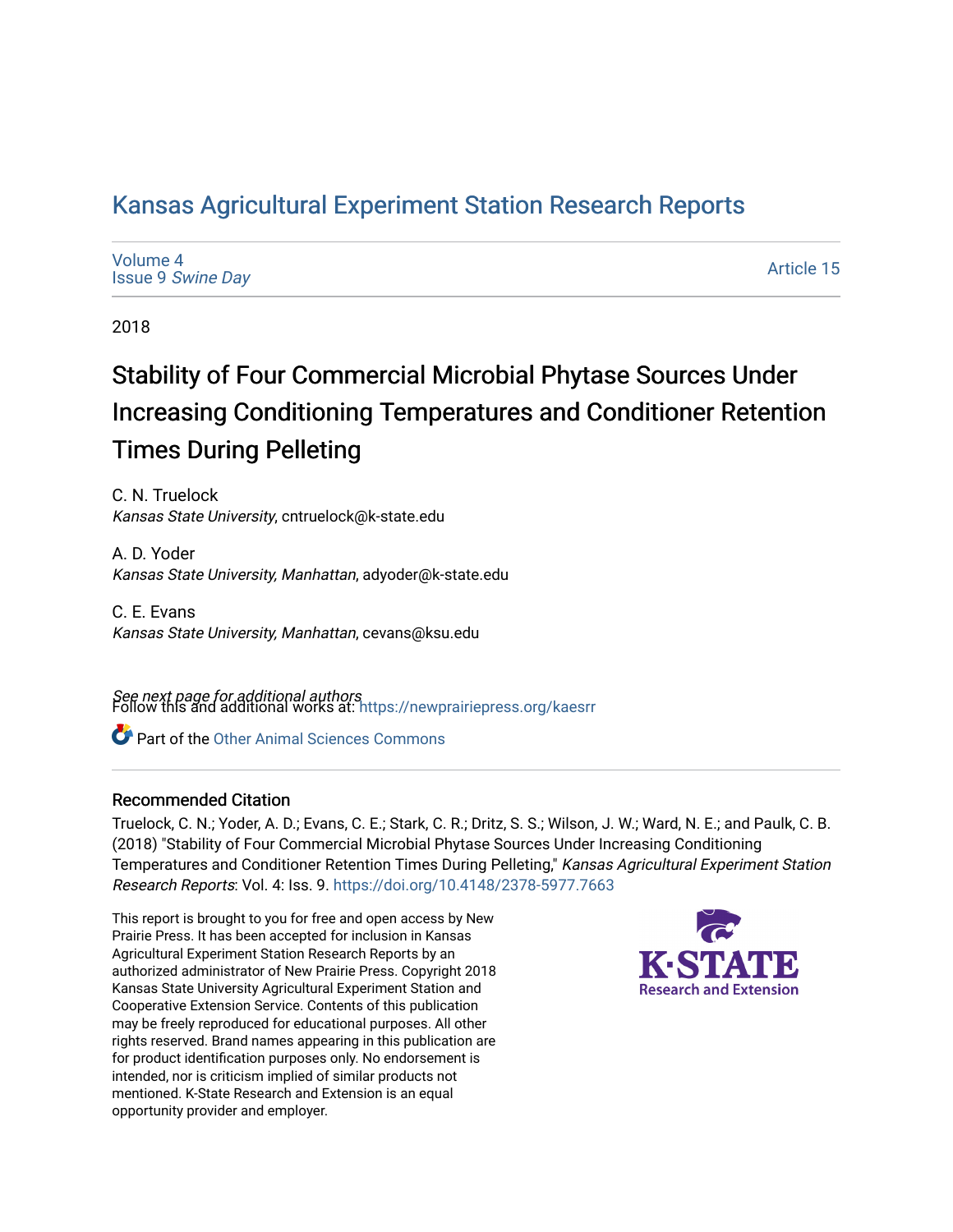# [Kansas Agricultural Experiment Station Research Reports](https://newprairiepress.org/kaesrr)

| Volume 4                 |  |  |
|--------------------------|--|--|
| <b>Issue 9 Swine Day</b> |  |  |

[Article 15](https://newprairiepress.org/kaesrr/vol4/iss9/15) 

2018

# Stability of Four Commercial Microbial Phytase Sources Under Increasing Conditioning Temperatures and Conditioner Retention Times During Pelleting

C. N. Truelock Kansas State University, cntruelock@k-state.edu

A. D. Yoder Kansas State University, Manhattan, adyoder@k-state.edu

C. E. Evans Kansas State University, Manhattan, cevans@ksu.edu

**See next page for additional authors**<br>Follow this and additional works at: https://newprairiepress.org/kaesrr

Part of the [Other Animal Sciences Commons](http://network.bepress.com/hgg/discipline/82?utm_source=newprairiepress.org%2Fkaesrr%2Fvol4%2Fiss9%2F15&utm_medium=PDF&utm_campaign=PDFCoverPages)

## Recommended Citation

Truelock, C. N.; Yoder, A. D.; Evans, C. E.; Stark, C. R.; Dritz, S. S.; Wilson, J. W.; Ward, N. E.; and Paulk, C. B. (2018) "Stability of Four Commercial Microbial Phytase Sources Under Increasing Conditioning Temperatures and Conditioner Retention Times During Pelleting," Kansas Agricultural Experiment Station Research Reports: Vol. 4: Iss. 9.<https://doi.org/10.4148/2378-5977.7663>

This report is brought to you for free and open access by New Prairie Press. It has been accepted for inclusion in Kansas Agricultural Experiment Station Research Reports by an authorized administrator of New Prairie Press. Copyright 2018 Kansas State University Agricultural Experiment Station and Cooperative Extension Service. Contents of this publication may be freely reproduced for educational purposes. All other rights reserved. Brand names appearing in this publication are for product identification purposes only. No endorsement is intended, nor is criticism implied of similar products not mentioned. K-State Research and Extension is an equal opportunity provider and employer.

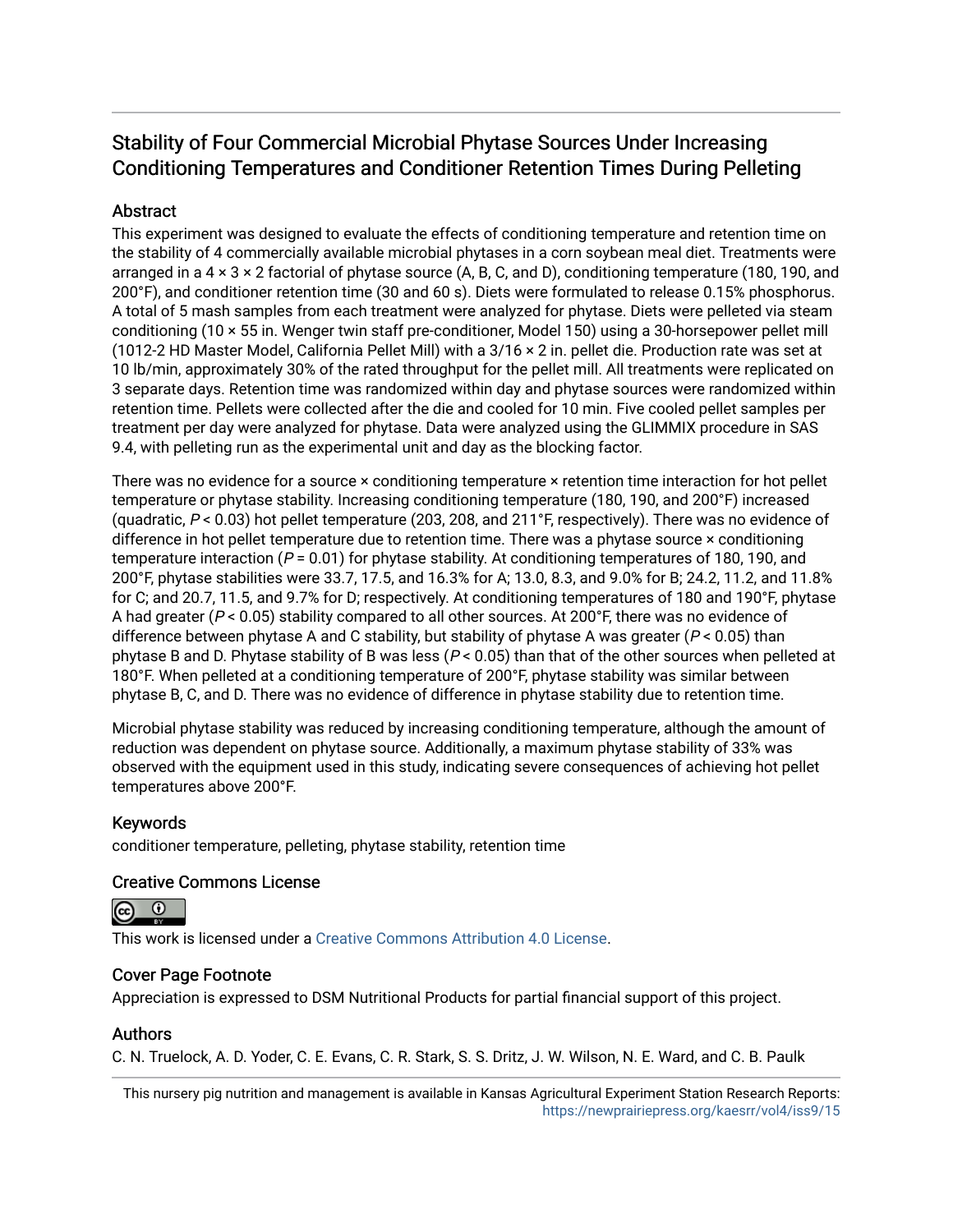# Stability of Four Commercial Microbial Phytase Sources Under Increasing Conditioning Temperatures and Conditioner Retention Times During Pelleting

## **Abstract**

This experiment was designed to evaluate the effects of conditioning temperature and retention time on the stability of 4 commercially available microbial phytases in a corn soybean meal diet. Treatments were arranged in a  $4 \times 3 \times 2$  factorial of phytase source (A, B, C, and D), conditioning temperature (180, 190, and 200°F), and conditioner retention time (30 and 60 s). Diets were formulated to release 0.15% phosphorus. A total of 5 mash samples from each treatment were analyzed for phytase. Diets were pelleted via steam conditioning (10 × 55 in. Wenger twin staff pre-conditioner, Model 150) using a 30-horsepower pellet mill (1012-2 HD Master Model, California Pellet Mill) with a 3/16 × 2 in. pellet die. Production rate was set at 10 lb/min, approximately 30% of the rated throughput for the pellet mill. All treatments were replicated on 3 separate days. Retention time was randomized within day and phytase sources were randomized within retention time. Pellets were collected after the die and cooled for 10 min. Five cooled pellet samples per treatment per day were analyzed for phytase. Data were analyzed using the GLIMMIX procedure in SAS 9.4, with pelleting run as the experimental unit and day as the blocking factor.

There was no evidence for a source × conditioning temperature × retention time interaction for hot pellet temperature or phytase stability. Increasing conditioning temperature (180, 190, and 200°F) increased (quadratic,  $P < 0.03$ ) hot pellet temperature (203, 208, and 211°F, respectively). There was no evidence of difference in hot pellet temperature due to retention time. There was a phytase source × conditioning temperature interaction ( $P = 0.01$ ) for phytase stability. At conditioning temperatures of 180, 190, and 200°F, phytase stabilities were 33.7, 17.5, and 16.3% for A; 13.0, 8.3, and 9.0% for B; 24.2, 11.2, and 11.8% for C; and 20.7, 11.5, and 9.7% for D; respectively. At conditioning temperatures of 180 and 190°F, phytase A had greater ( $P < 0.05$ ) stability compared to all other sources. At 200°F, there was no evidence of difference between phytase A and C stability, but stability of phytase A was greater ( $P < 0.05$ ) than phytase B and D. Phytase stability of B was less ( $P < 0.05$ ) than that of the other sources when pelleted at 180°F. When pelleted at a conditioning temperature of 200°F, phytase stability was similar between phytase B, C, and D. There was no evidence of difference in phytase stability due to retention time.

Microbial phytase stability was reduced by increasing conditioning temperature, although the amount of reduction was dependent on phytase source. Additionally, a maximum phytase stability of 33% was observed with the equipment used in this study, indicating severe consequences of achieving hot pellet temperatures above 200°F.

## Keywords

conditioner temperature, pelleting, phytase stability, retention time

## Creative Commons License



This work is licensed under a [Creative Commons Attribution 4.0 License](https://creativecommons.org/licenses/by/4.0/).

## Cover Page Footnote

Appreciation is expressed to DSM Nutritional Products for partial financial support of this project.

## Authors

C. N. Truelock, A. D. Yoder, C. E. Evans, C. R. Stark, S. S. Dritz, J. W. Wilson, N. E. Ward, and C. B. Paulk

This nursery pig nutrition and management is available in Kansas Agricultural Experiment Station Research Reports: <https://newprairiepress.org/kaesrr/vol4/iss9/15>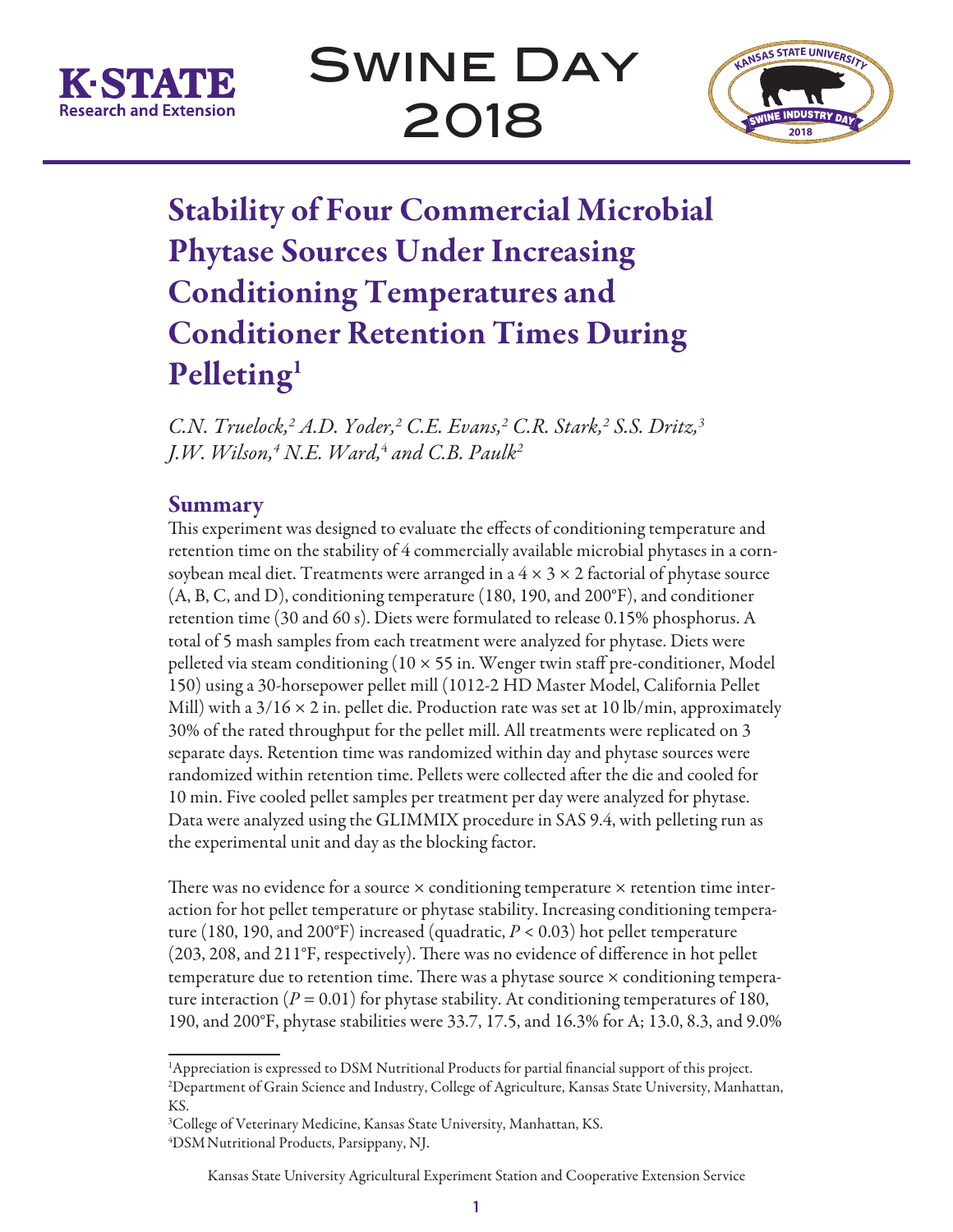



# Stability of Four Commercial Microbial Phytase Sources Under Increasing Conditioning Temperatures and Conditioner Retention Times During Pelleting<sup>1</sup>

*C.N. Truelock,2 A.D. Yoder,2 C.E. Evans,2 C.R. Stark,2 S.S. Dritz,3 J.W. Wilson,4 N.E. Ward,*<sup>4</sup>  *and C.B. Paulk2*

## Summary

This experiment was designed to evaluate the effects of conditioning temperature and retention time on the stability of 4 commercially available microbial phytases in a cornsoybean meal diet. Treatments were arranged in a  $4 \times 3 \times 2$  factorial of phytase source (A, B, C, and D), conditioning temperature (180, 190, and 200°F), and conditioner retention time (30 and 60 s). Diets were formulated to release 0.15% phosphorus. A total of 5 mash samples from each treatment were analyzed for phytase. Diets were pelleted via steam conditioning  $(10 \times 55)$  in. Wenger twin staff pre-conditioner, Model 150) using a 30-horsepower pellet mill (1012-2 HD Master Model, California Pellet Mill) with a  $3/16 \times 2$  in. pellet die. Production rate was set at 10 lb/min, approximately 30% of the rated throughput for the pellet mill. All treatments were replicated on 3 separate days. Retention time was randomized within day and phytase sources were randomized within retention time. Pellets were collected after the die and cooled for 10 min. Five cooled pellet samples per treatment per day were analyzed for phytase. Data were analyzed using the GLIMMIX procedure in SAS 9.4, with pelleting run as the experimental unit and day as the blocking factor.

There was no evidence for a source  $\times$  conditioning temperature  $\times$  retention time interaction for hot pellet temperature or phytase stability. Increasing conditioning temperature (180, 190, and 200°F) increased (quadratic, *P* < 0.03) hot pellet temperature (203, 208, and 211°F, respectively). There was no evidence of difference in hot pellet temperature due to retention time. There was a phytase source × conditioning temperature interaction  $(P = 0.01)$  for phytase stability. At conditioning temperatures of 180, 190, and 200°F, phytase stabilities were 33.7, 17.5, and 16.3% for A; 13.0, 8.3, and 9.0%

<sup>&</sup>lt;sup>1</sup>Appreciation is expressed to DSM Nutritional Products for partial financial support of this project. 2 Department of Grain Science and Industry, College of Agriculture, Kansas State University, Manhattan, KS.

<sup>3</sup> College of Veterinary Medicine, Kansas State University, Manhattan, KS. 4 DSMNutritional Products, Parsippany, NJ.

Kansas State University Agricultural Experiment Station and Cooperative Extension Service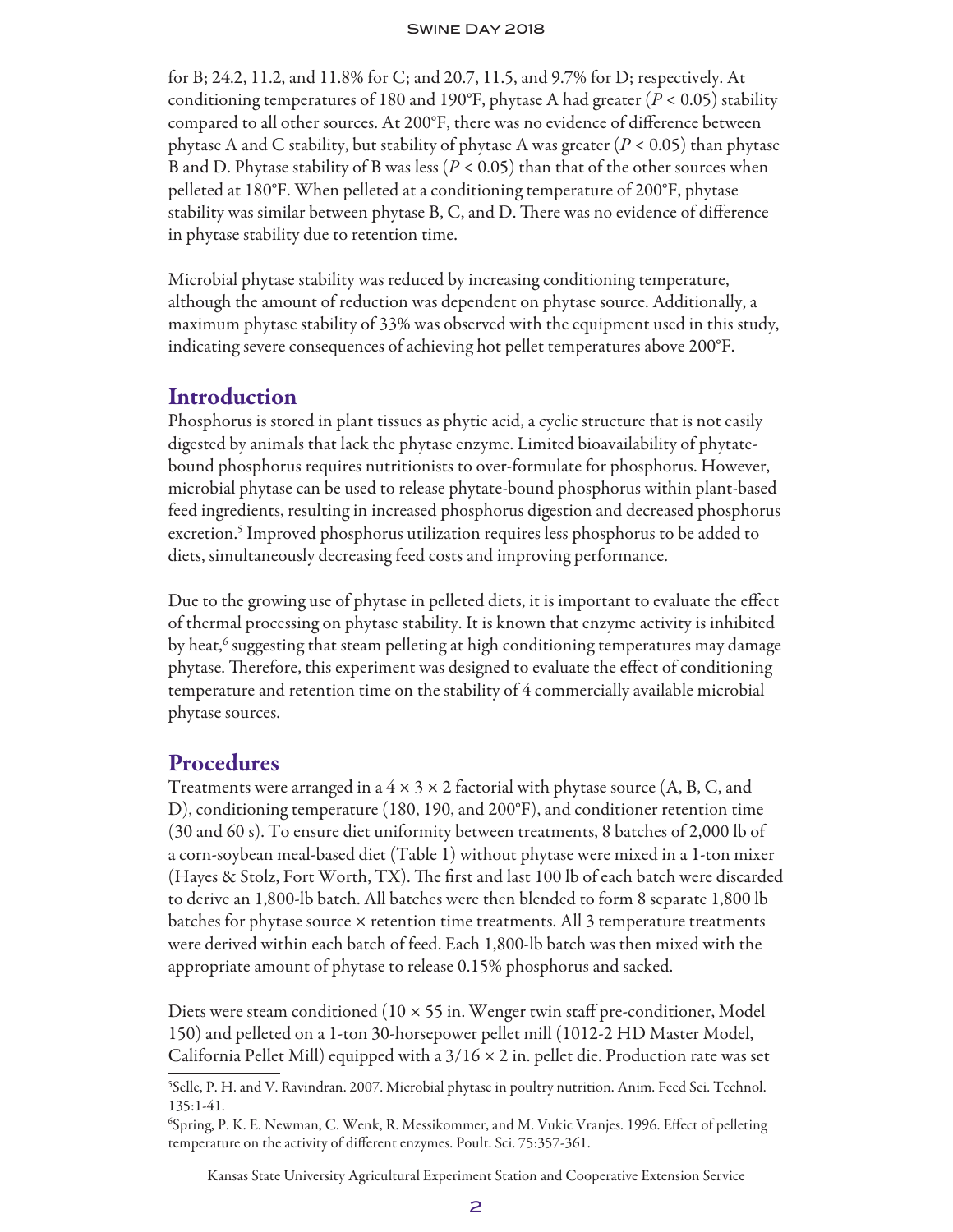for B; 24.2, 11.2, and 11.8% for C; and 20.7, 11.5, and 9.7% for D; respectively. At conditioning temperatures of 180 and 190°F, phytase A had greater ( $P < 0.05$ ) stability compared to all other sources. At 200°F, there was no evidence of difference between phytase A and C stability, but stability of phytase A was greater (*P* < 0.05) than phytase B and D. Phytase stability of B was less (*P* < 0.05) than that of the other sources when pelleted at 180°F. When pelleted at a conditioning temperature of 200°F, phytase stability was similar between phytase B, C, and D. There was no evidence of difference in phytase stability due to retention time.

Microbial phytase stability was reduced by increasing conditioning temperature, although the amount of reduction was dependent on phytase source. Additionally, a maximum phytase stability of 33% was observed with the equipment used in this study, indicating severe consequences of achieving hot pellet temperatures above 200°F.

## Introduction

Phosphorus is stored in plant tissues as phytic acid, a cyclic structure that is not easily digested by animals that lack the phytase enzyme. Limited bioavailability of phytatebound phosphorus requires nutritionists to over-formulate for phosphorus. However, microbial phytase can be used to release phytate-bound phosphorus within plant-based feed ingredients, resulting in increased phosphorus digestion and decreased phosphorus excretion.<sup>5</sup> Improved phosphorus utilization requires less phosphorus to be added to diets, simultaneously decreasing feed costs and improving performance.

Due to the growing use of phytase in pelleted diets, it is important to evaluate the effect of thermal processing on phytase stability. It is known that enzyme activity is inhibited by heat,<sup>6</sup> suggesting that steam pelleting at high conditioning temperatures may damage phytase. Therefore, this experiment was designed to evaluate the effect of conditioning temperature and retention time on the stability of 4 commercially available microbial phytase sources.

## **Procedures**

Treatments were arranged in a  $4 \times 3 \times 2$  factorial with phytase source (A, B, C, and D), conditioning temperature (180, 190, and 200°F), and conditioner retention time (30 and 60 s). To ensure diet uniformity between treatments, 8 batches of 2,000 lb of a corn-soybean meal-based diet (Table 1) without phytase were mixed in a 1-ton mixer (Hayes & Stolz, Fort Worth, TX). The first and last 100 lb of each batch were discarded to derive an 1,800-lb batch. All batches were then blended to form 8 separate 1,800 lb batches for phytase source × retention time treatments. All 3 temperature treatments were derived within each batch of feed. Each 1,800-lb batch was then mixed with the appropriate amount of phytase to release 0.15% phosphorus and sacked.

Diets were steam conditioned ( $10 \times 55$  in. Wenger twin staff pre-conditioner, Model 150) and pelleted on a 1-ton 30-horsepower pellet mill (1012-2 HD Master Model, California Pellet Mill) equipped with a  $3/16 \times 2$  in. pellet die. Production rate was set

Kansas State University Agricultural Experiment Station and Cooperative Extension Service

<sup>5</sup> Selle, P. H. and V. Ravindran. 2007. Microbial phytase in poultry nutrition. Anim. Feed Sci. Technol. 135:1-41.

<sup>6</sup> Spring, P. K. E. Newman, C. Wenk, R. Messikommer, and M. Vukic Vranjes. 1996. Effect of pelleting temperature on the activity of different enzymes. Poult. Sci. 75:357-361.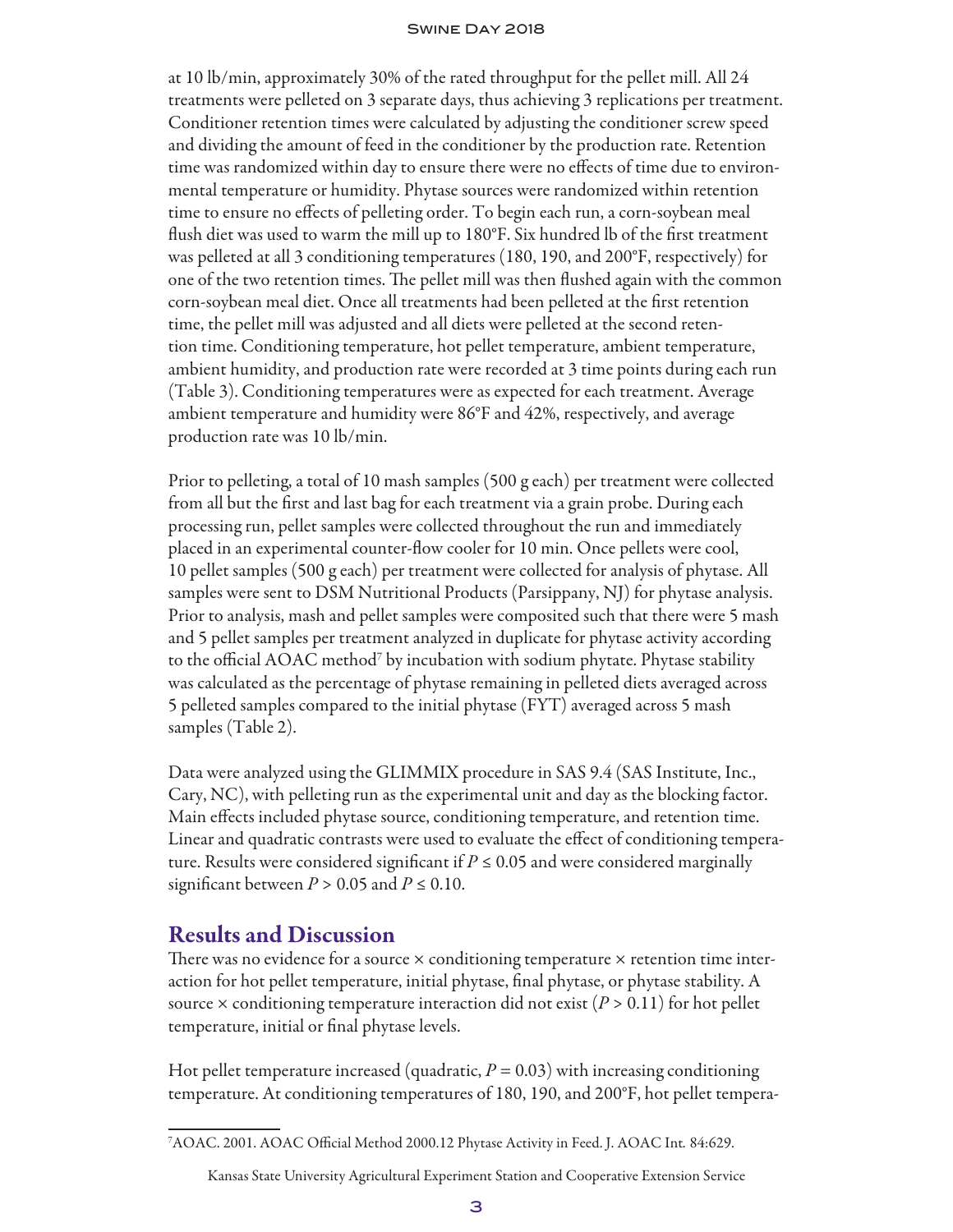at 10 lb/min, approximately 30% of the rated throughput for the pellet mill. All 24 treatments were pelleted on 3 separate days, thus achieving 3 replications per treatment. Conditioner retention times were calculated by adjusting the conditioner screw speed and dividing the amount of feed in the conditioner by the production rate. Retention time was randomized within day to ensure there were no effects of time due to environmental temperature or humidity. Phytase sources were randomized within retention time to ensure no effects of pelleting order. To begin each run, a corn-soybean meal flush diet was used to warm the mill up to 180°F. Six hundred lb of the first treatment was pelleted at all 3 conditioning temperatures (180, 190, and 200°F, respectively) for one of the two retention times. The pellet mill was then flushed again with the common corn-soybean meal diet. Once all treatments had been pelleted at the first retention time, the pellet mill was adjusted and all diets were pelleted at the second retention time. Conditioning temperature, hot pellet temperature, ambient temperature, ambient humidity, and production rate were recorded at 3 time points during each run (Table 3). Conditioning temperatures were as expected for each treatment. Average ambient temperature and humidity were 86°F and 42%, respectively, and average production rate was 10 lb/min.

Prior to pelleting, a total of 10 mash samples (500 g each) per treatment were collected from all but the first and last bag for each treatment via a grain probe. During each processing run, pellet samples were collected throughout the run and immediately placed in an experimental counter-flow cooler for 10 min. Once pellets were cool, 10 pellet samples (500 g each) per treatment were collected for analysis of phytase. All samples were sent to DSM Nutritional Products (Parsippany, NJ) for phytase analysis. Prior to analysis, mash and pellet samples were composited such that there were 5 mash and 5 pellet samples per treatment analyzed in duplicate for phytase activity according to the official AOAC method<sup>7</sup> by incubation with sodium phytate. Phytase stability was calculated as the percentage of phytase remaining in pelleted diets averaged across 5 pelleted samples compared to the initial phytase (FYT) averaged across 5 mash samples (Table 2).

Data were analyzed using the GLIMMIX procedure in SAS 9.4 (SAS Institute, Inc., Cary, NC), with pelleting run as the experimental unit and day as the blocking factor. Main effects included phytase source, conditioning temperature, and retention time. Linear and quadratic contrasts were used to evaluate the effect of conditioning temperature. Results were considered significant if  $P \leq 0.05$  and were considered marginally significant between  $P > 0.05$  and  $P \le 0.10$ .

## Results and Discussion

There was no evidence for a source  $\times$  conditioning temperature  $\times$  retention time interaction for hot pellet temperature, initial phytase, final phytase, or phytase stability. A source  $\times$  conditioning temperature interaction did not exist ( $P > 0.11$ ) for hot pellet temperature, initial or final phytase levels.

Hot pellet temperature increased (quadratic,  $P = 0.03$ ) with increasing conditioning temperature. At conditioning temperatures of 180, 190, and 200°F, hot pellet tempera-

<sup>7</sup> AOAC. 2001. AOAC Official Method 2000.12 Phytase Activity in Feed. J. AOAC Int*.* 84:629.

Kansas State University Agricultural Experiment Station and Cooperative Extension Service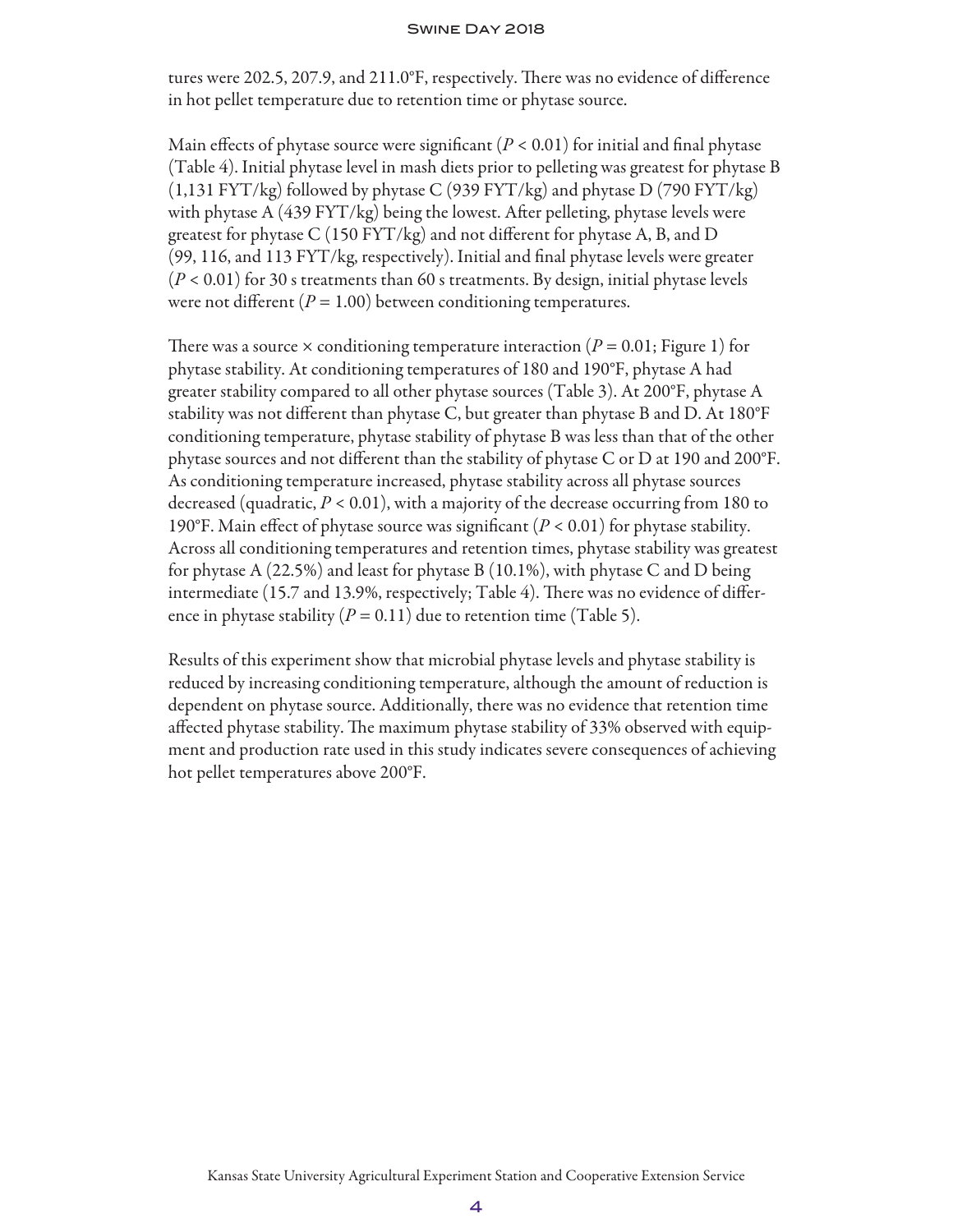tures were 202.5, 207.9, and 211.0°F, respectively. There was no evidence of difference in hot pellet temperature due to retention time or phytase source.

Main effects of phytase source were significant  $(P < 0.01)$  for initial and final phytase (Table 4). Initial phytase level in mash diets prior to pelleting was greatest for phytase B (1,131 FYT/kg) followed by phytase C (939 FYT/kg) and phytase D (790 FYT/kg) with phytase A (439 FYT/kg) being the lowest. After pelleting, phytase levels were greatest for phytase C (150 FYT/kg) and not different for phytase A, B, and D (99, 116, and 113 FYT/kg, respectively). Initial and final phytase levels were greater (*P* < 0.01) for 30 s treatments than 60 s treatments. By design, initial phytase levels were not different  $(P = 1.00)$  between conditioning temperatures.

There was a source  $\times$  conditioning temperature interaction ( $P = 0.01$ ; Figure 1) for phytase stability. At conditioning temperatures of 180 and 190°F, phytase A had greater stability compared to all other phytase sources (Table 3). At 200°F, phytase A stability was not different than phytase C, but greater than phytase B and D. At 180°F conditioning temperature, phytase stability of phytase B was less than that of the other phytase sources and not different than the stability of phytase C or D at 190 and 200°F. As conditioning temperature increased, phytase stability across all phytase sources decreased (quadratic, *P* < 0.01), with a majority of the decrease occurring from 180 to 190°F. Main effect of phytase source was significant (*P* < 0.01) for phytase stability. Across all conditioning temperatures and retention times, phytase stability was greatest for phytase A (22.5%) and least for phytase B (10.1%), with phytase C and D being intermediate (15.7 and 13.9%, respectively; Table 4). There was no evidence of difference in phytase stability  $(P = 0.11)$  due to retention time (Table 5).

Results of this experiment show that microbial phytase levels and phytase stability is reduced by increasing conditioning temperature, although the amount of reduction is dependent on phytase source. Additionally, there was no evidence that retention time affected phytase stability. The maximum phytase stability of 33% observed with equipment and production rate used in this study indicates severe consequences of achieving hot pellet temperatures above 200°F.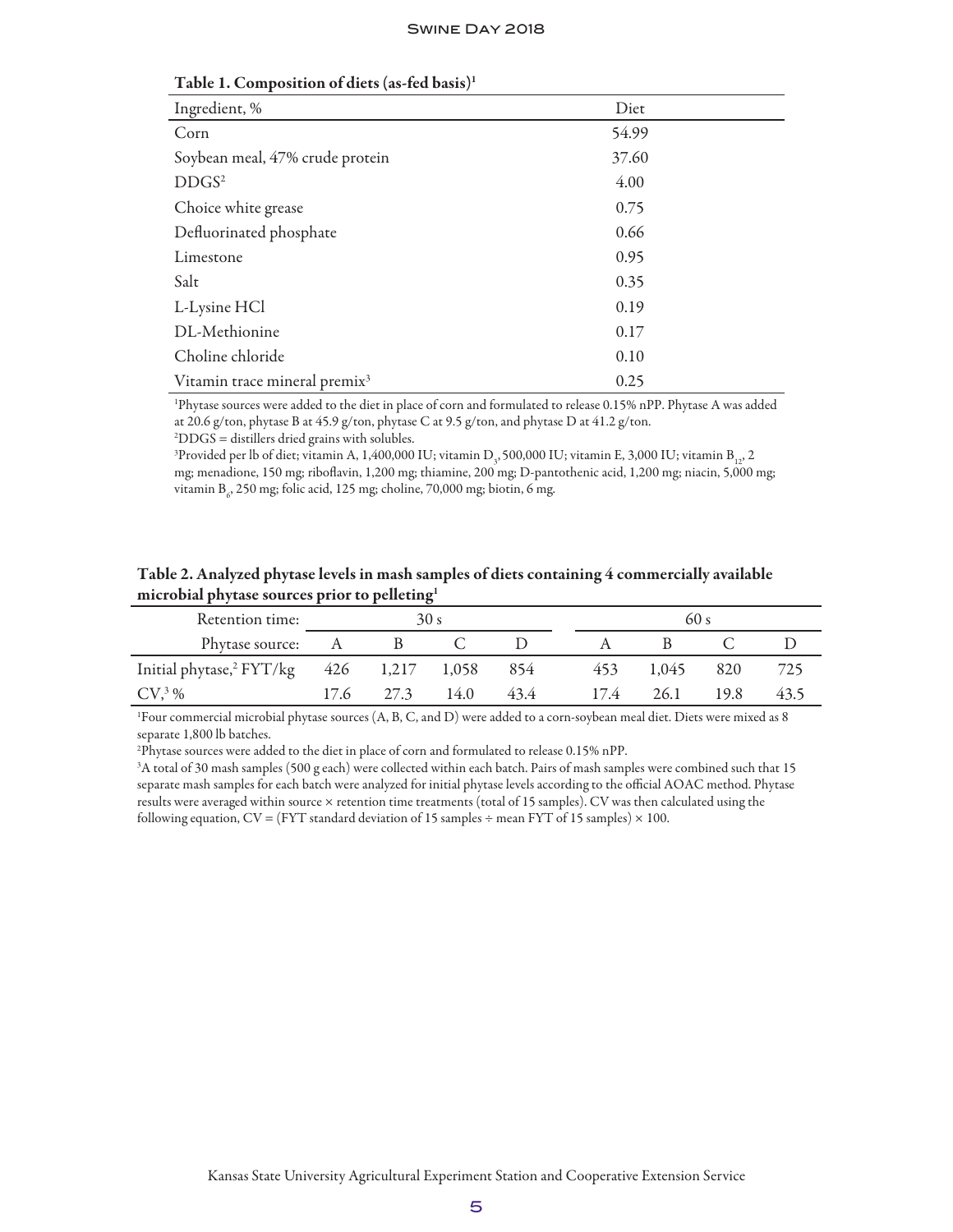| Ingredient, %                             | Diet  |
|-------------------------------------------|-------|
| Corn                                      | 54.99 |
| Soybean meal, 47% crude protein           | 37.60 |
| DDGS <sup>2</sup>                         | 4.00  |
| Choice white grease                       | 0.75  |
| Defluorinated phosphate                   | 0.66  |
| Limestone                                 | 0.95  |
| Salt                                      | 0.35  |
| L-Lysine HCl                              | 0.19  |
| DL-Methionine                             | 0.17  |
| Choline chloride                          | 0.10  |
| Vitamin trace mineral premix <sup>3</sup> | 0.25  |

Table 1. Composition of diets (as-fed basis)1

1 Phytase sources were added to the diet in place of corn and formulated to release 0.15% nPP. Phytase A was added at 20.6 g/ton, phytase B at 45.9 g/ton, phytase C at 9.5 g/ton, and phytase D at 41.2 g/ton. 2 DDGS = distillers dried grains with solubles.

<sup>3</sup>Provided per lb of diet; vitamin A, 1,400,000 IU; vitamin D<sub>3</sub>, 500,000 IU; vitamin E, 3,000 IU; vitamin B<sub>12</sub>, 2 mg; menadione, 150 mg; riboflavin, 1,200 mg; thiamine, 200 mg; D-pantothenic acid, 1,200 mg; niacin, 5,000 mg; vitamin B<sub>6</sub>, 250 mg; folic acid, 125 mg; choline, 70,000 mg; biotin, 6 mg.

| Table 2. Analyzed phytase levels in mash samples of diets containing 4 commercially available |  |
|-----------------------------------------------------------------------------------------------|--|
| microbial phytase sources prior to pelleting <sup>1</sup>                                     |  |

| Retention time:                                          | 30 s |           |      |      | 60 s |       |      |      |
|----------------------------------------------------------|------|-----------|------|------|------|-------|------|------|
| Phytase source: A                                        |      |           |      |      |      |       |      |      |
| Initial phytase, <sup>2</sup> FYT/kg 426 1,217 1,058 854 |      |           |      |      | 453  | 1,045 | 820  | 725  |
| $CV3$ %                                                  |      | 17.6 27.3 | 14.0 | 43.4 | 17.4 | 26.1  | 19.8 | 43.5 |

1 Four commercial microbial phytase sources (A, B, C, and D) were added to a corn-soybean meal diet. Diets were mixed as 8 separate 1,800 lb batches.

2 Phytase sources were added to the diet in place of corn and formulated to release 0.15% nPP.

3 A total of 30 mash samples (500 g each) were collected within each batch. Pairs of mash samples were combined such that 15 separate mash samples for each batch were analyzed for initial phytase levels according to the official AOAC method. Phytase results were averaged within source × retention time treatments (total of 15 samples). CV was then calculated using the following equation,  $CV = (FYT$  standard deviation of 15 samples  $\div$  mean FYT of 15 samples)  $\times$  100.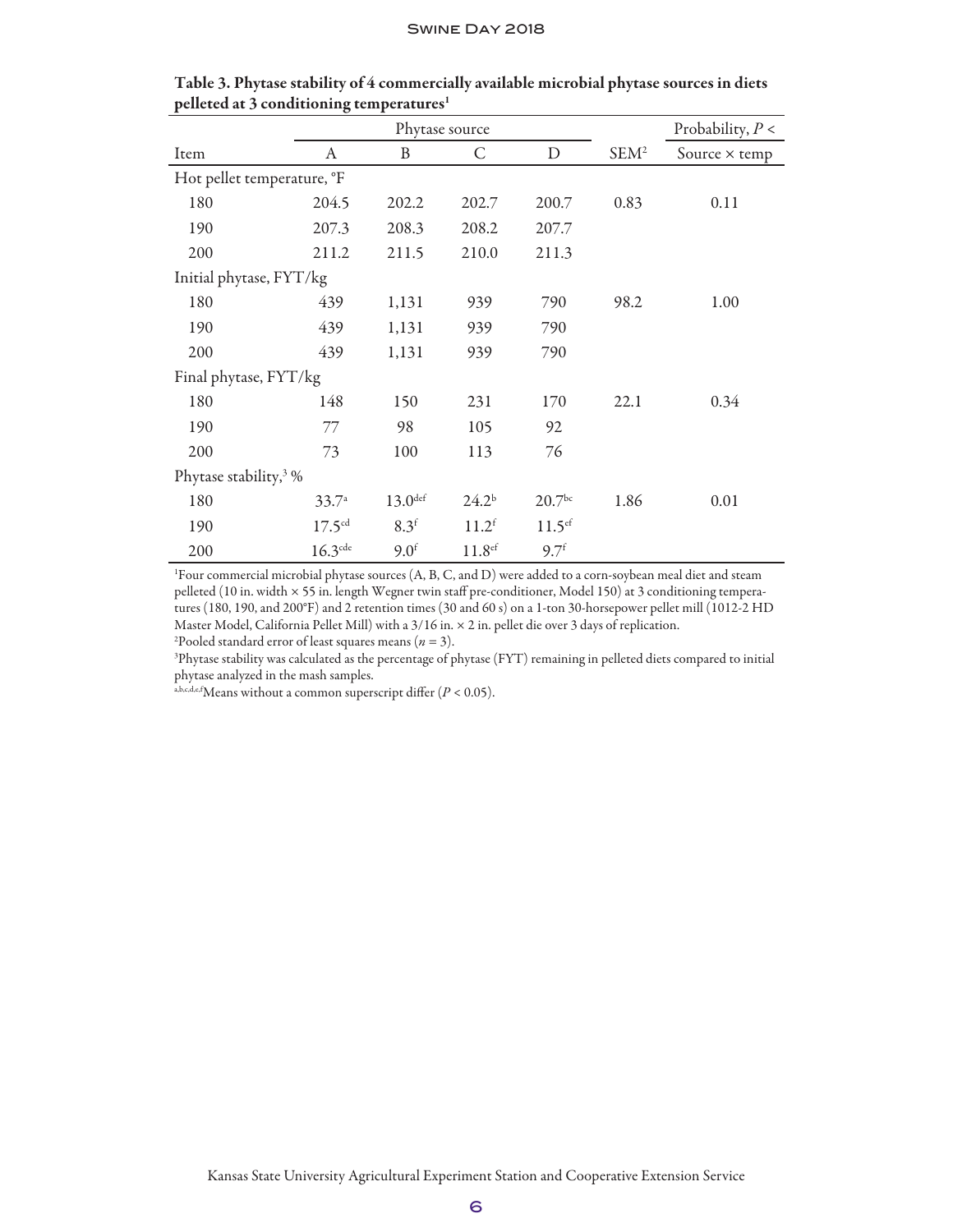|                                   |                    | Phytase source   |                    | Probability, $P <$   |                  |                      |
|-----------------------------------|--------------------|------------------|--------------------|----------------------|------------------|----------------------|
| Item                              | A                  | B                | C                  | $\mathbf D$          | SEM <sup>2</sup> | Source $\times$ temp |
| Hot pellet temperature, °F        |                    |                  |                    |                      |                  |                      |
| 180                               | 204.5              | 202.2            | 202.7              | 200.7                | 0.83             | 0.11                 |
| 190                               | 207.3              | 208.3            | 208.2              | 207.7                |                  |                      |
| 200                               | 211.2              | 211.5            | 210.0              | 211.3                |                  |                      |
| Initial phytase, FYT/kg           |                    |                  |                    |                      |                  |                      |
| 180                               | 439                | 1,131            | 939                | 790                  | 98.2             | 1.00                 |
| 190                               | 439                | 1,131            | 939                | 790                  |                  |                      |
| 200                               | 439                | 1,131            | 939                | 790                  |                  |                      |
| Final phytase, FYT/kg             |                    |                  |                    |                      |                  |                      |
| 180                               | 148                | 150              | 231                | 170                  | 22.1             | 0.34                 |
| 190                               | 77                 | 98               | 105                | 92                   |                  |                      |
| 200                               | 73                 | 100              | 113                | 76                   |                  |                      |
| Phytase stability, <sup>3</sup> % |                    |                  |                    |                      |                  |                      |
| 180                               | 33.7 <sup>a</sup>  | $13.0$ def       | $24.2^{b}$         | 20.7 <sup>bc</sup>   | 1.86             | 0.01                 |
| 190                               | 17.5 <sup>cd</sup> | 8.3 <sup>f</sup> | 11.2 <sup>f</sup>  | $11.5$ <sup>ef</sup> |                  |                      |
| 200                               | $16.3$ de          | 9.0 <sup>f</sup> | 11.8 <sup>ef</sup> | 9.7 <sup>f</sup>     |                  |                      |

| Table 3. Phytase stability of 4 commercially available microbial phytase sources in diets |  |  |
|-------------------------------------------------------------------------------------------|--|--|
| pelleted at 3 conditioning temperatures <sup>1</sup>                                      |  |  |

1 Four commercial microbial phytase sources (A, B, C, and D) were added to a corn-soybean meal diet and steam pelleted (10 in. width × 55 in. length Wegner twin staff pre-conditioner, Model 150) at 3 conditioning temperatures (180, 190, and 200°F) and 2 retention times (30 and 60 s) on a 1-ton 30-horsepower pellet mill (1012-2 HD Master Model, California Pellet Mill) with a 3/16 in. × 2 in. pellet die over 3 days of replication. 2 Pooled standard error of least squares means (*n* = 3).

3 Phytase stability was calculated as the percentage of phytase (FYT) remaining in pelleted diets compared to initial phytase analyzed in the mash samples.

a,b,c,d,e,fMeans without a common superscript differ  $(P < 0.05)$ .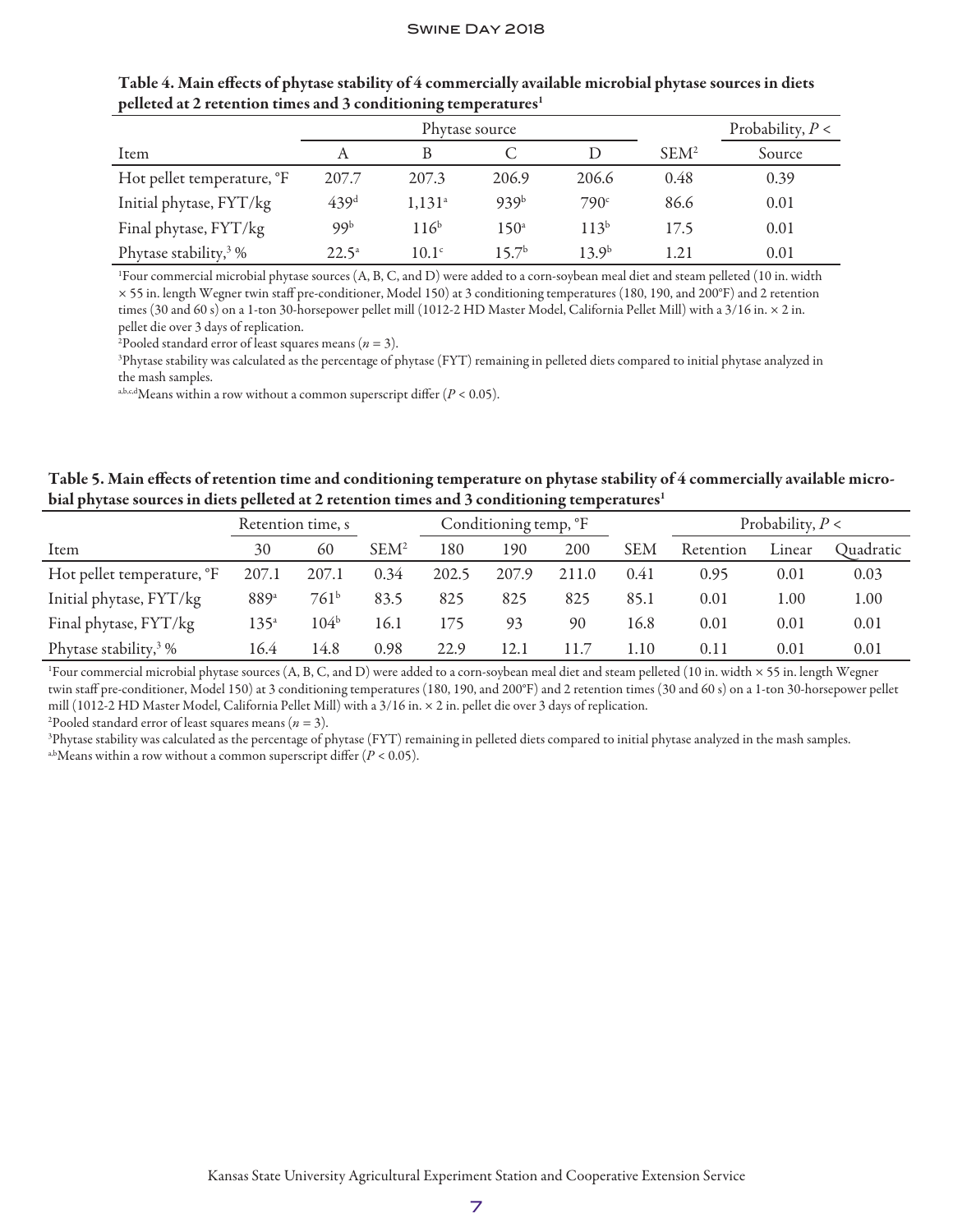|                                   |                  | Phytase source       |                  | Probability, $P <$ |                  |        |
|-----------------------------------|------------------|----------------------|------------------|--------------------|------------------|--------|
| Item                              |                  |                      |                  |                    | SEM <sup>2</sup> | Source |
| Hot pellet temperature, °F        | 207.7            | 207.3                | 206.9            | 206.6              | 0.48             | 0.39   |
| Initial phytase, FYT/kg           | 439 <sup>d</sup> | $1,131$ <sup>a</sup> | 939 <sup>b</sup> | 790 <sup>c</sup>   | 86.6             | 0.01   |
| Final phytase, FYT/kg             | 99b              | $116^{b}$            | $150^{\circ}$    | $113^{b}$          | 17.5             | 0.01   |
| Phytase stability, <sup>3</sup> % | $22.5^{\circ}$   | 10.1 <sup>c</sup>    | $157^{\rm b}$    | 13.9 <sup>b</sup>  | 1.21             | 0.01   |

Table 4. Main effects of phytase stability of 4 commercially available microbial phytase sources in diets pelleted at 2 retention times and 3 conditioning temperatures<sup>1</sup>

1 Four commercial microbial phytase sources (A, B, C, and D) were added to a corn-soybean meal diet and steam pelleted (10 in. width × 55 in. length Wegner twin staff pre-conditioner, Model 150) at 3 conditioning temperatures (180, 190, and 200°F) and 2 retention times (30 and 60 s) on a 1-ton 30-horsepower pellet mill (1012-2 HD Master Model, California Pellet Mill) with a 3/16 in. × 2 in. pellet die over 3 days of replication.

2 Pooled standard error of least squares means (*n* = 3).

3 Phytase stability was calculated as the percentage of phytase (FYT) remaining in pelleted diets compared to initial phytase analyzed in the mash samples.

a,b,c,dMeans within a row without a common superscript differ  $(P < 0.05)$ .

Table 5. Main effects of retention time and conditioning temperature on phytase stability of 4 commercially available microbial phytase sources in diets pelleted at 2 retention times and 3 conditioning temperatures<sup>1</sup>

|                                    | Retention time, s |                  |                  | Conditioning temp, °F |       |       |            |           | Probability, $P <$ |           |
|------------------------------------|-------------------|------------------|------------------|-----------------------|-------|-------|------------|-----------|--------------------|-----------|
| Item                               | 30                | 60               | SEM <sup>2</sup> | 180                   | 190   | 200   | <b>SEM</b> | Retention | Linear             | Ouadratic |
| Hot pellet temperature, °F         | 207.1             | 207.1            | 0.34             | 202.5                 | 207.9 | 211.0 | 0.41       | 0.95      | 0.01               | 0.03      |
| Initial phytase, FYT/kg            | 889a              | $761^b$          | 83.5             | 825                   | 825   | 825   | 85.1       | 0.01      | .00                | 1.00      |
| Final phytase, FYT/kg              | $135^{\circ}$     | 104 <sup>b</sup> | 16.1             | 175                   | 93    | 90    | 16.8       | 0.01      | 0.01               | 0.01      |
| Phytase stability, $\frac{3}{2}$ % | 16.4              | 14.8             | 0.98             | 22.9                  | 12.1  | L1.7  | l.10       | 0.11      | 0.01               | 0.01      |

1 Four commercial microbial phytase sources (A, B, C, and D) were added to a corn-soybean meal diet and steam pelleted (10 in. width × 55 in. length Wegner twin staff pre-conditioner, Model 150) at 3 conditioning temperatures (180, 190, and 200°F) and 2 retention times (30 and 60 s) on a 1-ton 30-horsepower pellet mill (1012-2 HD Master Model, California Pellet Mill) with a 3/16 in. × 2 in. pellet die over 3 days of replication.

2 Pooled standard error of least squares means (*n* = 3).

3 Phytase stability was calculated as the percentage of phytase (FYT) remaining in pelleted diets compared to initial phytase analyzed in the mash samples. <sup>a,b</sup>Means within a row without a common superscript differ  $(P < 0.05)$ .